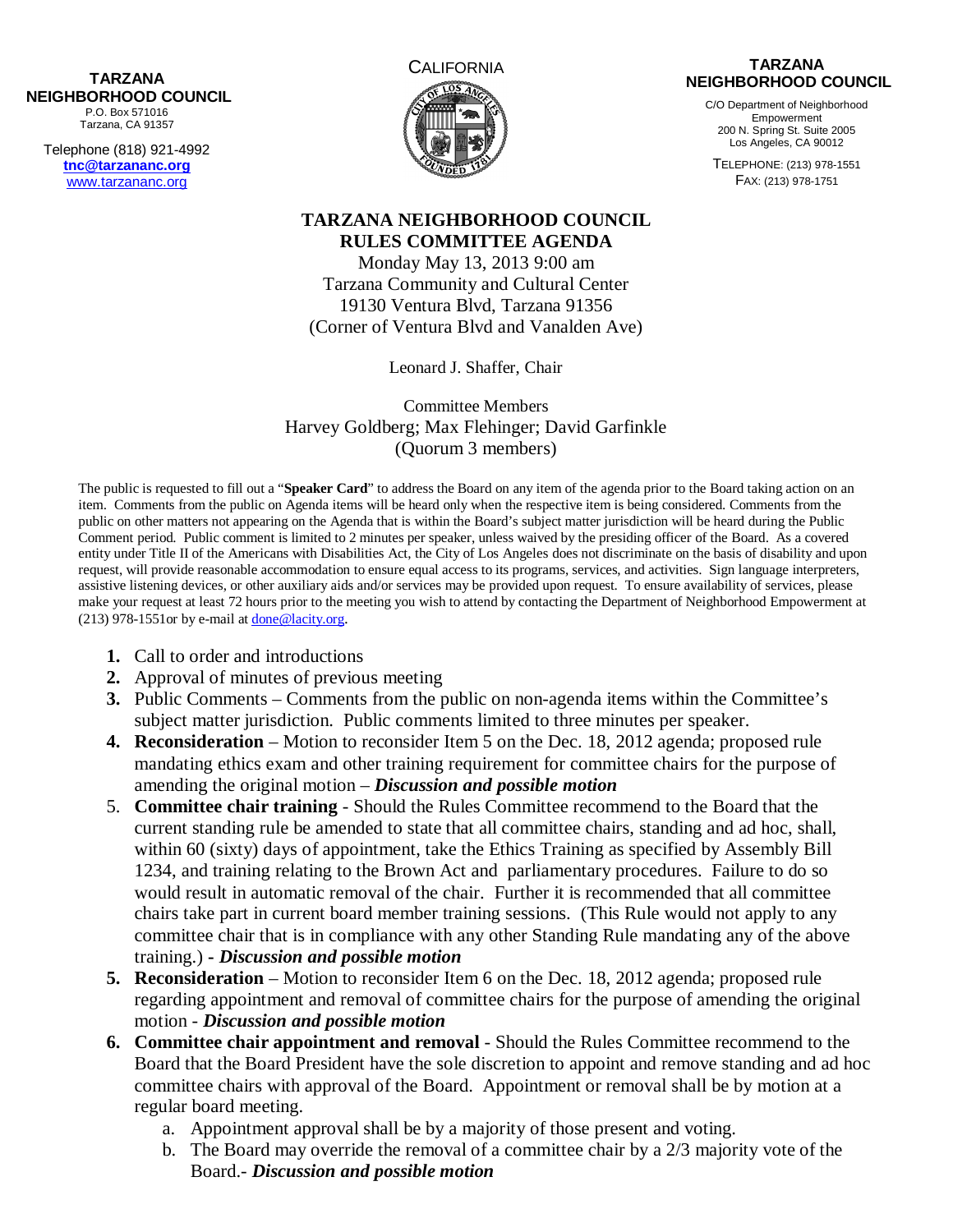## **NEIGHBORHOOD COUNCIL**  P.O. Box 571016

Tarzana, CA 91357

Telephone (818) 921-4992 **tnc@tarzananc.org** www.tarzananc.org



## **TARZANA NEIGHBORHOOD COUNCIL**

C/O Department of Neighborhood Empowerment 200 N. Spring St. Suite 2005 Los Angeles, CA 90012

TELEPHONE: (213) 978-1551 FAX: (213) 978-1751

## **TARZANA NEIGHBORHOOD COUNCIL RULES COMMITTEE AGENDA**

Monday May 13, 2013 9:00 am Tarzana Community and Cultural Center 19130 Ventura Blvd, Tarzana 91356 (Corner of Ventura Blvd and Vanalden Ave)

Leonard J. Shaffer, Chair

Committee Members Harvey Goldberg; Max Flehinger; David Garfinkle (Quorum 3 members)

The public is requested to fill out a "**Speaker Card**" to address the Board on any item of the agenda prior to the Board taking action on an item. Comments from the public on Agenda items will be heard only when the respective item is being considered. Comments from the public on other matters not appearing on the Agenda that is within the Board's subject matter jurisdiction will be heard during the Public Comment period. Public comment is limited to 2 minutes per speaker, unless waived by the presiding officer of the Board. As a covered entity under Title II of the Americans with Disabilities Act, the City of Los Angeles does not discriminate on the basis of disability and upon request, will provide reasonable accommodation to ensure equal access to its programs, services, and activities. Sign language interpreters, assistive listening devices, or other auxiliary aids and/or services may be provided upon request. To ensure availability of services, please make your request at least 72 hours prior to the meeting you wish to attend by contacting the Department of Neighborhood Empowerment at (213) 978-1551or by e-mail at done@lacity.org.

- **1.** Call to order and introductions
- **2.** Approval of minutes of previous meeting
- **3.** Public Comments Comments from the public on non-agenda items within the Committee's subject matter jurisdiction. Public comments limited to three minutes per speaker.
- **4. Reconsideration** Motion to reconsider Item 5 on the Dec. 18, 2012 agenda; proposed rule mandating ethics exam and other training requirement for committee chairs for the purpose of amending the original motion – *Discussion and possible motion*
- 5. **Committee chair training** Should the Rules Committee recommend to the Board that the current standing rule be amended to state that all committee chairs, standing and ad hoc, shall, within 60 (sixty) days of appointment, take the Ethics Training as specified by Assembly Bill 1234, and training relating to the Brown Act and parliamentary procedures. Failure to do so would result in automatic removal of the chair. Further it is recommended that all committee chairs take part in current board member training sessions. (This Rule would not apply to any committee chair that is in compliance with any other Standing Rule mandating any of the above training.) **-** *Discussion and possible motion*
- **5. Reconsideration** Motion to reconsider Item 6 on the Dec. 18, 2012 agenda; proposed rule regarding appointment and removal of committee chairs for the purpose of amending the original motion - *Discussion and possible motion*
- **6. Committee chair appointment and removal** Should the Rules Committee recommend to the Board that the Board President have the sole discretion to appoint and remove standing and ad hoc committee chairs with approval of the Board. Appointment or removal shall be by motion at a regular board meeting.
	- a. Appointment approval shall be by a majority of those present and voting.
	- b. The Board may override the removal of a committee chair by a 2/3 majority vote of the Board.- *Discussion and possible motion*